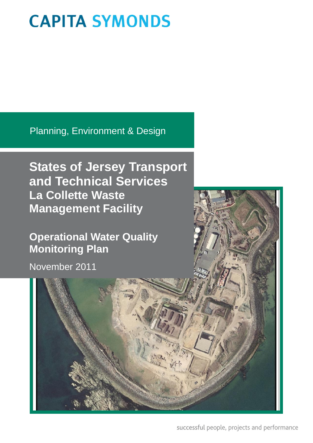Planning, Environment & Design

**States of Jersey Transport and Technical Services La Collette Waste Management Facility**

**Operational Water Quality Monitoring Plan**

November 2011



successful people, projects and performance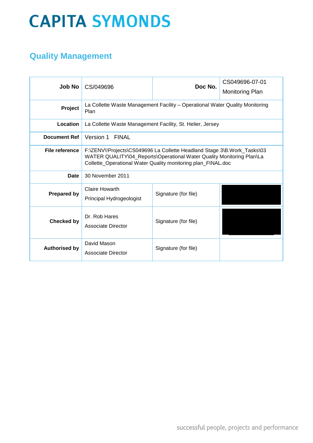### **Quality Management**

| <b>Job No</b>        | CS/049696                                                                                                                                                                                                        | Doc No.              | CS049696-07-01<br><b>Monitoring Plan</b> |  |
|----------------------|------------------------------------------------------------------------------------------------------------------------------------------------------------------------------------------------------------------|----------------------|------------------------------------------|--|
| Project              | La Collette Waste Management Facility - Operational Water Quality Monitoring<br>Plan                                                                                                                             |                      |                                          |  |
| Location             | La Collette Waste Management Facility, St. Helier, Jersey                                                                                                                                                        |                      |                                          |  |
| <b>Document Ref</b>  | Version 1 FINAL                                                                                                                                                                                                  |                      |                                          |  |
| File reference       | F:\ZENV\!Projects\CS049696 La Collette Headland Stage 3\B.Work_Tasks\03<br>WATER QUALITY\04_Reports\Operational Water Quality Monitoring Plan\La<br>Collette_Operational Water Quality monitoring plan_FINAL.doc |                      |                                          |  |
| Date                 | 30 November 2011                                                                                                                                                                                                 |                      |                                          |  |
| <b>Prepared by</b>   | Claire Howarth<br>Signature (for file)<br>Principal Hydrogeologist                                                                                                                                               |                      |                                          |  |
| <b>Checked by</b>    | Dr. Rob Hares<br>Associate Director                                                                                                                                                                              | Signature (for file) |                                          |  |
| <b>Authorised by</b> | David Mason<br>Associate Director                                                                                                                                                                                | Signature (for file) |                                          |  |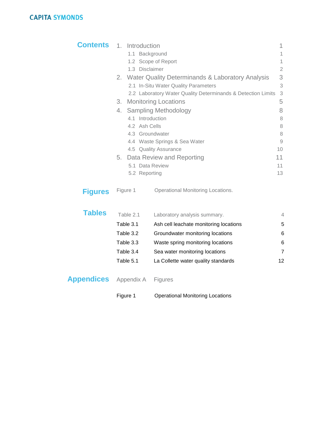| <b>Contents</b> | 1. Introduction  |                                                              | 1              |
|-----------------|------------------|--------------------------------------------------------------|----------------|
|                 |                  | 1.1 Background                                               | 1              |
|                 |                  | 1.2 Scope of Report                                          | 1              |
|                 | 1.3 Disclaimer   |                                                              | $\overline{2}$ |
|                 |                  | 2. Water Quality Determinands & Laboratory Analysis          | 3              |
|                 |                  | 2.1 In-Situ Water Quality Parameters                         | 3              |
|                 |                  | 2.2 Laboratory Water Quality Determinands & Detection Limits | 3              |
|                 | 3.               | <b>Monitoring Locations</b>                                  | 5              |
|                 | 4.               | <b>Sampling Methodology</b>                                  | 8              |
|                 | 4.1 Introduction |                                                              | 8              |
|                 | 4.2 Ash Cells    |                                                              | 8              |
|                 |                  | 4.3 Groundwater                                              | 8              |
|                 |                  | 4.4 Waste Springs & Sea Water                                | $\overline{9}$ |
|                 |                  | 4.5 Quality Assurance                                        | 10             |
|                 |                  | 5. Data Review and Reporting                                 | 11             |
|                 |                  | 5.1 Data Review                                              | 11             |
|                 | 5.2 Reporting    |                                                              | 13             |
| <b>Figures</b>  | Figure 1         | <b>Operational Monitoring Locations.</b>                     |                |
| <b>Tables</b>   | Table 2.1        | Laboratory analysis summary.                                 | 4              |
|                 | Table 3.1        | Ash cell leachate monitoring locations                       | 5              |
|                 | Table 3.2        | Groundwater monitoring locations                             | 6              |

Table 3.3 Waste spring monitoring locations 6 Table 3.4 Sea water monitoring locations 7 Table 5.1 La Collette water quality standards 12

Appendix A Figures

**Appendices**

Figure 1 Operational Monitoring Locations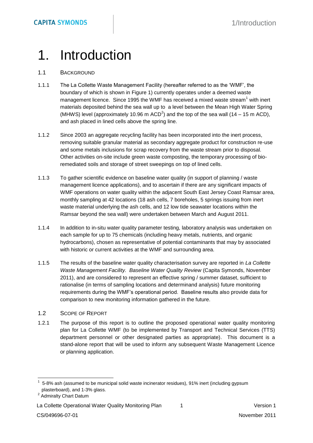### 1. Introduction

#### 1.1 BACKGROUND

- 1.1.1 The La Collette Waste Management Facility (hereafter referred to as the 'WMF', the boundary of which is shown in Figure 1) currently operates under a deemed waste management licence. Since 1995 the WMF has received a mixed waste stream<sup>1</sup> with inert materials deposited behind the sea wall up to a level between the Mean High Water Spring (MHWS) level (approximately 10.96 m ACD<sup>2</sup>) and the top of the sea wall (14 – 15 m ACD), and ash placed in lined cells above the spring line.
- 1.1.2 Since 2003 an aggregate recycling facility has been incorporated into the inert process, removing suitable granular material as secondary aggregate product for construction re-use and some metals inclusions for scrap recovery from the waste stream prior to disposal. Other activities on-site include green waste composting, the temporary processing of bioremediated soils and storage of street sweepings on top of lined cells.
- 1.1.3 To gather scientific evidence on baseline water quality (in support of planning / waste management licence applications), and to ascertain if there are any significant impacts of WMF operations on water quality within the adjacent South East Jersey Coast Ramsar area, monthly sampling at 42 locations (18 ash cells, 7 boreholes, 5 springs issuing from inert waste material underlying the ash cells, and 12 low tide seawater locations within the Ramsar beyond the sea wall) were undertaken between March and August 2011.
- 1.1.4 In addition to in-situ water quality parameter testing, laboratory analysis was undertaken on each sample for up to 75 chemicals (including heavy metals, nutrients, and organic hydrocarbons), chosen as representative of potential contaminants that may by associated with historic or current activities at the WMF and surrounding area.
- 1.1.5 The results of the baseline water quality characterisation survey are reported in *La Collette Waste Management Facility. Baseline Water Quality Review* (Capita Symonds, November 2011), and are considered to represent an effective spring / summer dataset, sufficient to rationalise (in terms of sampling locations and determinand analysis) future monitoring requirements during the WMF's operational period. Baseline results also provide data for comparison to new monitoring information gathered in the future.

#### 1.2 SCOPE OF REPORT

1.2.1 The purpose of this report is to outline the proposed operational water quality monitoring plan for La Collette WMF (to be implemented by Transport and Technical Services (TTS) department personnel or other designated parties as appropriate). This document is a stand-alone report that will be used to inform any subsequent Waste Management Licence or planning application.

<sup>1</sup> 5-8% ash (assumed to be municipal solid waste incinerator residues), 91% inert (including gypsum plasterboard), and 1-3% glass.

<sup>&</sup>lt;sup>2</sup> Admiralty Chart Datum

La Collette Operational Water Quality Monitoring Plan 1 1 1 1 Version 1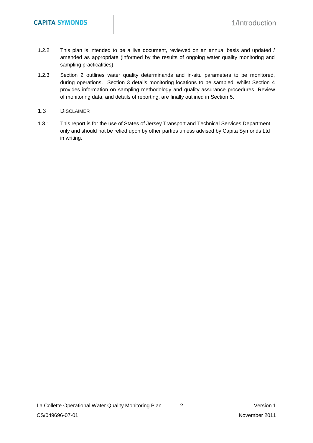- 1.2.2 This plan is intended to be a live document, reviewed on an annual basis and updated / amended as appropriate (informed by the results of ongoing water quality monitoring and sampling practicalities).
- 1.2.3 Section 2 outlines water quality determinands and in-situ parameters to be monitored, during operations. Section 3 details monitoring locations to be sampled, whilst Section 4 provides information on sampling methodology and quality assurance procedures. Review of monitoring data, and details of reporting, are finally outlined in Section 5.

#### 1.3 DISCLAIMER

1.3.1 This report is for the use of States of Jersey Transport and Technical Services Department only and should not be relied upon by other parties unless advised by Capita Symonds Ltd in writing.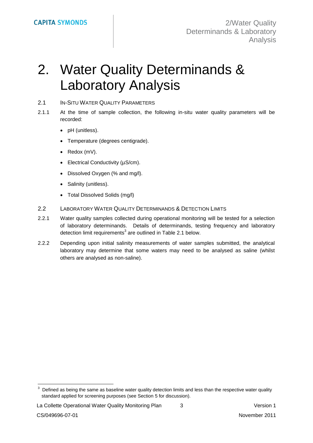## 2. Water Quality Determinands & Laboratory Analysis

#### 2.1 IN-SITU WATER QUALITY PARAMETERS

- 2.1.1 At the time of sample collection, the following in-situ water quality parameters will be recorded:
	- pH (unitless).
	- Temperature (degrees centigrade).
	- Redox (mV).
	- Electrical Conductivity (µS/cm).
	- Dissolved Oxygen (% and mg/l).
	- Salinity (unitless).
	- Total Dissolved Solids (mg/l)
- 2.2 LABORATORY WATER QUALITY DETERMINANDS & DETECTION LIMITS
- 2.2.1 Water quality samples collected during operational monitoring will be tested for a selection of laboratory determinands. Details of determinands, testing frequency and laboratory detection limit requirements<sup>3</sup> are outlined in Table 2.1 below.
- 2.2.2 Depending upon initial salinity measurements of water samples submitted, the analytical laboratory may determine that some waters may need to be analysed as saline (whilst others are analysed as non-saline).

La Collette Operational Water Quality Monitoring Plan  $\qquad \qquad 3$   $\qquad \qquad$  Version 1

<sup>3</sup> Defined as being the same as baseline water quality detection limits and less than the respective water quality standard applied for screening purposes (see Section 5 for discussion).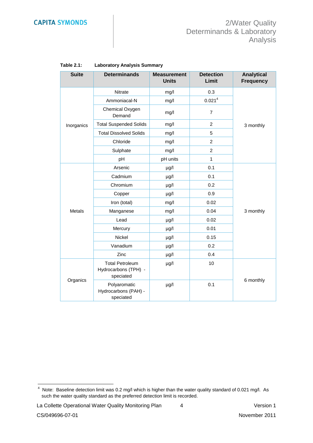| <b>Suite</b> | <b>Determinands</b>                                         | <b>Measurement</b><br><b>Units</b> | <b>Detection</b><br>Limit | <b>Analytical</b><br><b>Frequency</b> |  |
|--------------|-------------------------------------------------------------|------------------------------------|---------------------------|---------------------------------------|--|
|              | Nitrate                                                     | mg/l                               | 0.3                       |                                       |  |
|              | Ammoniacal-N                                                | mg/l                               | 0.021 <sup>4</sup>        |                                       |  |
|              | Chemical Oxygen<br>Demand                                   | mg/l                               | $\overline{7}$            |                                       |  |
| Inorganics   | <b>Total Suspended Solids</b>                               | mg/l                               | $\overline{2}$            | 3 monthly                             |  |
|              | <b>Total Dissolved Solids</b>                               | mg/l                               | 5                         |                                       |  |
|              | Chloride                                                    | mg/l                               | $\overline{2}$            |                                       |  |
|              | Sulphate                                                    | mg/l                               | $\overline{c}$            |                                       |  |
|              | pH                                                          | pH units                           | 1                         |                                       |  |
|              | Arsenic                                                     | $\mu$ g/l                          | 0.1                       |                                       |  |
|              | Cadmium                                                     | $\mu$ g/l                          | 0.1                       | 3 monthly                             |  |
|              | Chromium                                                    | $\mu$ g/l                          | 0.2                       |                                       |  |
|              | Copper                                                      | µg/l                               | 0.9                       |                                       |  |
|              | Iron (total)                                                | mg/l                               | 0.02                      |                                       |  |
| Metals       | Manganese                                                   | mg/l                               | 0.04                      |                                       |  |
|              | Lead                                                        | $\mu$ g/l                          | 0.02                      |                                       |  |
|              | Mercury                                                     | $\mu$ g/l                          | 0.01                      |                                       |  |
|              | Nickel                                                      | µg/l                               | 0.15                      |                                       |  |
| Organics     | Vanadium                                                    | µg/l                               | 0.2                       |                                       |  |
|              | Zinc                                                        | $\mu$ g/l                          | 0.4                       |                                       |  |
|              | <b>Total Petroleum</b><br>Hydrocarbons (TPH) -<br>speciated | $\mu$ g/l                          | 10                        |                                       |  |
|              | Polyaromatic<br>Hydrocarbons (PAH) -<br>speciated           | $\mu$ g/l                          | 0.1                       | 6 monthly                             |  |

#### **Table 2.1: Laboratory Analysis Summary**

La Collette Operational Water Quality Monitoring Plan  $4$  4 Version 1

 4 Note: Baseline detection limit was 0.2 mg/l which is higher than the water quality standard of 0.021 mg/l. As such the water quality standard as the preferred detection limit is recorded.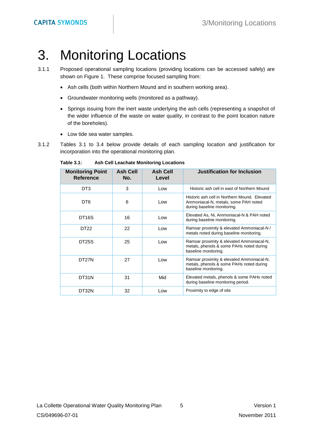### 3. Monitoring Locations

- 3.1.1 Proposed operational sampling locations (providing locations can be accessed safely) are shown on Figure 1. These comprise focused sampling from:
	- Ash cells (both within Northern Mound and in southern working area).
	- Groundwater monitoring wells (monitored as a pathway).
	- Springs issuing from the inert waste underlying the ash cells (representing a snapshot of the wider influence of the waste on water quality, in contrast to the point location nature of the boreholes).
	- Low tide sea water samples.
- 3.1.2 Tables 3.1 to 3.4 below provide details of each sampling location and justification for incorporation into the operational monitoring plan.

| <b>Monitoring Point</b><br><b>Reference</b> | <b>Ash Cell</b><br>No. | <b>Ash Cell</b><br>Level                                                                                                    | <b>Justification for Inclusion</b>                                                                            |
|---------------------------------------------|------------------------|-----------------------------------------------------------------------------------------------------------------------------|---------------------------------------------------------------------------------------------------------------|
| DT3                                         | 3                      | Low                                                                                                                         | Historic ash cell in east of Northern Mound                                                                   |
| DT6                                         | 6                      | Historic ash cell in Northern Mound. Elevated<br>Ammoniacal-N, metals, some PAH noted<br>Low<br>during baseline monitoring. |                                                                                                               |
| DT <sub>16</sub> S                          | 16                     | Elevated As, Ni, Ammoniacal-N & PAH noted<br>Low.<br>during baseline monitoring.                                            |                                                                                                               |
| DT22                                        | 22                     | Ramsar proximity & elevated Ammoniacal-N /<br>Low<br>metals noted during baseline monitoring.                               |                                                                                                               |
| DT <sub>25</sub> S                          | 25                     | Ramsar proximity & elevated Ammoniacal-N,<br>Low<br>metals, phenols & some PAHs noted during<br>baseline monitoring.        |                                                                                                               |
| DT <sub>27</sub> N                          | 27                     | Low                                                                                                                         | Ramsar proximity & elevated Ammoniacal-N,<br>metals, phenols & some PAHs noted during<br>baseline monitoring. |
| DT31N                                       | 31                     | Mid                                                                                                                         | Elevated metals, phenols & some PAHs noted<br>during baseline monitoring period.                              |
| DT32N                                       | 32                     | Low                                                                                                                         | Proximity to edge of site                                                                                     |

**Table 3.1: Ash Cell Leachate Monitoring Locations**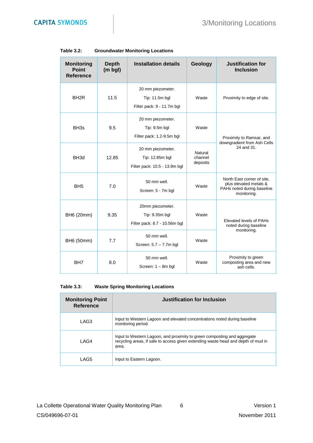| <b>Monitoring</b><br><b>Point</b><br><b>Reference</b> | <b>Depth</b><br>$(m$ bgl) | <b>Installation details</b>                                           | Geology                        | <b>Justification for</b><br><b>Inclusion</b>                                                      |  |
|-------------------------------------------------------|---------------------------|-----------------------------------------------------------------------|--------------------------------|---------------------------------------------------------------------------------------------------|--|
| BH <sub>2R</sub>                                      | 11.5                      | 20 mm piezometer.<br>Tip: 11.5m bgl<br>Filter pack: 9 - 11.7m bgl     | Waste                          | Proximity to edge of site.                                                                        |  |
| BH <sub>3s</sub>                                      | 9.5                       | 20 mm piezometer.<br>Tip: 9.5m bgl<br>Filter pack: 1.2-9.5m bgl       | Waste                          | Proximity to Ramsar, and                                                                          |  |
| BH <sub>3d</sub>                                      | 12.85                     | 20 mm piezometer.<br>Tip: 12.85m bgl<br>Filter pack: 10.5 - 13.9m bgl | Natural<br>channel<br>deposits | downgradient from Ash Cells<br>24 and 31.                                                         |  |
| BH <sub>5</sub>                                       | 7.0                       | 50 mm well.<br>Screen: 5 - 7m bgl                                     | Waste                          | North East corner of site,<br>plus elevated metals &<br>PAHs noted during baseline<br>monitoring. |  |
| BH6 (20mm)                                            | 9.35                      | 20mm piezometer.<br>Tip: 9.35m bgl<br>Filter pack: 8.7 - 10.56m bgl   | Waste                          | <b>Elevated levels of PAHs</b><br>noted during baseline                                           |  |
| BH6 (50mm)                                            | 7.7                       | 50 mm well.<br>Screen: 5.7 - 7.7m bgl                                 | Waste                          | monitoring.                                                                                       |  |
| BH <sub>7</sub>                                       | 8.0                       | 50 mm well.<br>Screen: 1 - 8m bgl                                     | Waste                          | Proximity to green<br>composting area and new<br>ash cells.                                       |  |

#### **Table 3.2: Groundwater Monitoring Locations**

#### **Table 3.3: Waste Spring Monitoring Locations**

| <b>Monitoring Point</b><br>Reference | Justification for Inclusion                                                                                                                                            |
|--------------------------------------|------------------------------------------------------------------------------------------------------------------------------------------------------------------------|
| LAG3                                 | Input to Western Lagoon and elevated concentrations noted during baseline<br>monitoring period.                                                                        |
| LAG4                                 | Input to Western Lagoon, and proximity to green composting and aggregate<br>recycling areas, if safe to access given extending waste head and depth of mud in<br>area. |
| LAG5                                 | Input to Eastern Lagoon.                                                                                                                                               |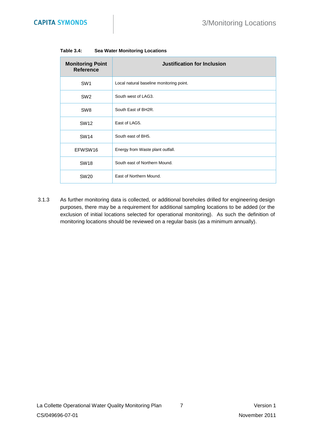| <b>Monitoring Point</b><br><b>Reference</b> | <b>Justification for Inclusion</b>       |
|---------------------------------------------|------------------------------------------|
| SW <sub>1</sub>                             | Local natural baseline monitoring point. |
| SW <sub>2</sub>                             | South west of LAG3.                      |
| SW <sub>8</sub>                             | South East of BH2R.                      |
| <b>SW12</b>                                 | East of LAG5.                            |
| <b>SW14</b>                                 | South east of BH5.                       |
| EFWSW16                                     | Energy from Waste plant outfall.         |
| <b>SW18</b>                                 | South east of Northern Mound.            |
| <b>SW20</b>                                 | East of Northern Mound.                  |

#### **Table 3.4: Sea Water Monitoring Locations**

3.1.3 As further monitoring data is collected, or additional boreholes drilled for engineering design purposes, there may be a requirement for additional sampling locations to be added (or the exclusion of initial locations selected for operational monitoring). As such the definition of monitoring locations should be reviewed on a regular basis (as a minimum annually).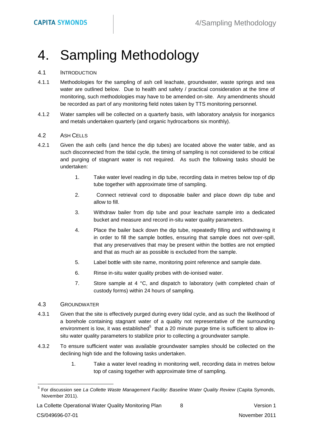## 4. Sampling Methodology

#### 4.1 INTRODUCTION

- 4.1.1 Methodologies for the sampling of ash cell leachate, groundwater, waste springs and sea water are outlined below. Due to health and safety / practical consideration at the time of monitoring, such methodologies may have to be amended on-site. Any amendments should be recorded as part of any monitoring field notes taken by TTS monitoring personnel.
- 4.1.2 Water samples will be collected on a quarterly basis, with laboratory analysis for inorganics and metals undertaken quarterly (and organic hydrocarbons six monthly).

#### 4.2 ASH CELLS

- 4.2.1 Given the ash cells (and hence the dip tubes) are located above the water table, and as such disconnected from the tidal cycle, the timing of sampling is not considered to be critical and purging of stagnant water is not required. As such the following tasks should be undertaken:
	- 1. Take water level reading in dip tube, recording data in metres below top of dip tube together with approximate time of sampling.
	- 2. Connect retrieval cord to disposable bailer and place down dip tube and allow to fill.
	- 3. Withdraw bailer from dip tube and pour leachate sample into a dedicated bucket and measure and record in-situ water quality parameters.
	- 4. Place the bailer back down the dip tube, repeatedly filling and withdrawing it in order to fill the sample bottles, ensuring that sample does not over-spill, that any preservatives that may be present within the bottles are not emptied and that as much air as possible is excluded from the sample.
	- 5. Label bottle with site name, monitoring point reference and sample date.
	- 6. Rinse in-situ water quality probes with de-ionised water.
	- 7. Store sample at 4 °C, and dispatch to laboratory (with completed chain of custody forms) within 24 hours of sampling.

#### 4.3 GROUNDWATER

- 4.3.1 Given that the site is effectively purged during every tidal cycle, and as such the likelihood of a borehole containing stagnant water of a quality not representative of the surrounding environment is low, it was established<sup>5</sup> that a 20 minute purge time is sufficient to allow insitu water quality parameters to stabilize prior to collecting a groundwater sample.
- 4.3.2 To ensure sufficient water was available groundwater samples should be collected on the declining high tide and the following tasks undertaken.
	- 1. Take a water level reading in monitoring well, recording data in metres below top of casing together with approximate time of sampling.

<sup>5</sup> For discussion see *La Collette Waste Management Facility: Baseline Water Quality Review* (Capita Symonds, November 2011).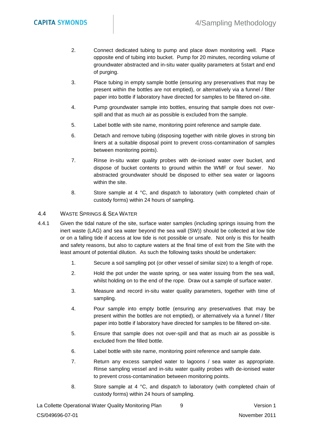- 2. Connect dedicated tubing to pump and place down monitoring well. Place opposite end of tubing into bucket. Pump for 20 minutes, recording volume of groundwater abstracted and in-situ water quality parameters at 5start and end of purging.
- 3. Place tubing in empty sample bottle (ensuring any preservatives that may be present within the bottles are not emptied), or alternatively via a funnel / filter paper into bottle if laboratory have directed for samples to be filtered on-site.
- 4. Pump groundwater sample into bottles, ensuring that sample does not overspill and that as much air as possible is excluded from the sample.
- 5. Label bottle with site name, monitoring point reference and sample date.
- 6. Detach and remove tubing (disposing together with nitrile gloves in strong bin liners at a suitable disposal point to prevent cross-contamination of samples between monitoring points).
- 7. Rinse in-situ water quality probes with de-ionised water over bucket, and dispose of bucket contents to ground within the WMF or foul sewer. No abstracted groundwater should be disposed to either sea water or lagoons within the site.
- 8. Store sample at 4 °C, and dispatch to laboratory (with completed chain of custody forms) within 24 hours of sampling.

#### 4.4 WASTE SPRINGS & SEA WATER

- 4.4.1 Given the tidal nature of the site, surface water samples (including springs issuing from the inert waste (LAG) and sea water beyond the sea wall (SW)) should be collected at low tide or on a falling tide if access at low tide is not possible or unsafe. Not only is this for health and safety reasons, but also to capture waters at the final time of exit from the Site with the least amount of potential dilution. As such the following tasks should be undertaken:
	- 1. Secure a soil sampling pot (or other vessel of similar size) to a length of rope.
	- 2. Hold the pot under the waste spring, or sea water issuing from the sea wall, whilst holding on to the end of the rope. Draw out a sample of surface water.
	- 3. Measure and record in-situ water quality parameters, together with time of sampling.
	- 4. Pour sample into empty bottle (ensuring any preservatives that may be present within the bottles are not emptied), or alternatively via a funnel / filter paper into bottle if laboratory have directed for samples to be filtered on-site.
	- 5. Ensure that sample does not over-spill and that as much air as possible is excluded from the filled bottle.
	- 6. Label bottle with site name, monitoring point reference and sample date.
	- 7. Return any excess sampled water to lagoons / sea water as appropriate. Rinse sampling vessel and in-situ water quality probes with de-ionised water to prevent cross-contamination between monitoring points.
	- 8. Store sample at 4 °C, and dispatch to laboratory (with completed chain of custody forms) within 24 hours of sampling.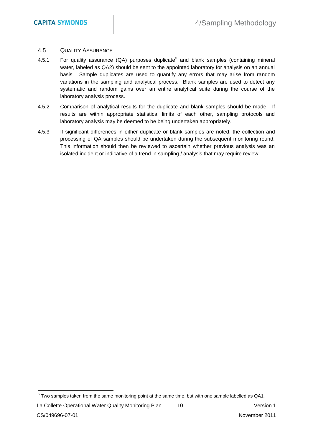#### 4.5 QUALITY ASSURANCE

- 4.5.1 For quality assurance (QA) purposes duplicate<sup>6</sup> and blank samples (containing mineral water, labeled as QA2) should be sent to the appointed laboratory for analysis on an annual basis. Sample duplicates are used to quantify any errors that may arise from random variations in the sampling and analytical process. Blank samples are used to detect any systematic and random gains over an entire analytical suite during the course of the laboratory analysis process.
- 4.5.2 Comparison of analytical results for the duplicate and blank samples should be made. If results are within appropriate statistical limits of each other, sampling protocols and laboratory analysis may be deemed to be being undertaken appropriately.
- 4.5.3 If significant differences in either duplicate or blank samples are noted, the collection and processing of QA samples should be undertaken during the subsequent monitoring round. This information should then be reviewed to ascertain whether previous analysis was an isolated incident or indicative of a trend in sampling / analysis that may require review.

 $6$  Two samples taken from the same monitoring point at the same time, but with one sample labelled as QA1.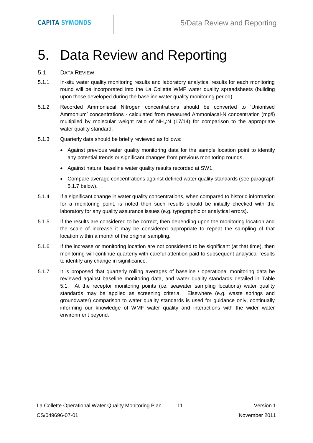## 5. Data Review and Reporting

#### 5.1 DATA REVIEW

- 5.1.1 In-situ water quality monitoring results and laboratory analytical results for each monitoring round will be incorporated into the La Collette WMF water quality spreadsheets (building upon those developed during the baseline water quality monitoring period).
- 5.1.2 Recorded Ammoniacal Nitrogen concentrations should be converted to 'Unionised Ammonium' concentrations - calculated from measured Ammoniacal-N concentration (mg/l) multiplied by molecular weight ratio of  $NH<sub>3</sub>:N$  (17/14) for comparison to the appropriate water quality standard.
- 5.1.3 Quarterly data should be briefly reviewed as follows:
	- Against previous water quality monitoring data for the sample location point to identify any potential trends or significant changes from previous monitoring rounds.
	- Against natural baseline water quality results recorded at SW1.
	- Compare average concentrations against defined water quality standards (see paragraph 5.1.7 below).
- 5.1.4 If a significant change in water quality concentrations, when compared to historic information for a monitoring point, is noted then such results should be initially checked with the laboratory for any quality assurance issues (e.g. typographic or analytical errors).
- 5.1.5 If the results are considered to be correct, then depending upon the monitoring location and the scale of increase it may be considered appropriate to repeat the sampling of that location within a month of the original sampling.
- 5.1.6 If the increase or monitoring location are not considered to be significant (at that time), then monitoring will continue quarterly with careful attention paid to subsequent analytical results to identify any change in significance.
- 5.1.7 It is proposed that quarterly rolling averages of baseline / operational monitoring data be reviewed against baseline monitoring data, and water quality standards detailed in Table 5.1. At the receptor monitoring points (i.e. seawater sampling locations) water quality standards may be applied as screening criteria. Elsewhere (e.g. waste springs and groundwater) comparison to water quality standards is used for guidance only, continually informing our knowledge of WMF water quality and interactions with the wider water environment beyond.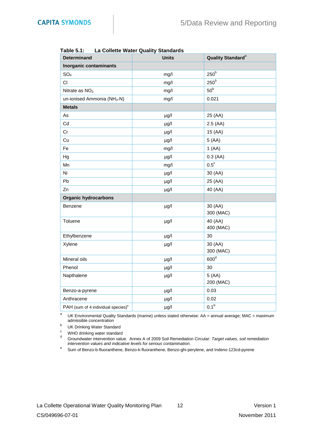| . ו .urc J.<br>La Collette Mater Quality Stariuarus |              |                                      |  |  |
|-----------------------------------------------------|--------------|--------------------------------------|--|--|
| <b>Determinand</b>                                  | <b>Units</b> | <b>Quality Standard</b> <sup>a</sup> |  |  |
| <b>Inorganic contaminants</b>                       |              |                                      |  |  |
| SO <sub>4</sub>                                     | mg/l         | $250^{\rm b}$                        |  |  |
| CI                                                  | mg/l         | 250 <sup>b</sup>                     |  |  |
| Nitrate as $NO3$                                    | mg/l         | 50 <sup>b</sup>                      |  |  |
| un-ionised Ammonia (NH <sub>3</sub> -N)             | mg/l         | 0.021                                |  |  |
| <b>Metals</b>                                       |              |                                      |  |  |
| As                                                  | µg/l         | 25 (AA)                              |  |  |
| Cd                                                  | µg/l         | 2.5(AA)                              |  |  |
| Cr                                                  | µg/l         | 15 (AA)                              |  |  |
| Cu                                                  | $\mu$ g/l    | 5(AA)                                |  |  |
| Fe                                                  | mg/l         | 1(AA)                                |  |  |
| Hg                                                  | $\mu$ g/l    | 0.3(AA)                              |  |  |
| Mn                                                  | mg/l         | $0.5^{\circ}$                        |  |  |
| Ni                                                  | µg/l         | 30 (AA)                              |  |  |
| Pb                                                  | $\mu$ g/l    | 25 (AA)                              |  |  |
| Zn                                                  | µg/l         | 40 (AA)                              |  |  |
| <b>Organic hydrocarbons</b>                         |              |                                      |  |  |
| Benzene                                             | $\mu$ g/l    | 30 (AA)<br>300 (MAC)                 |  |  |
| Toluene                                             | $\mu$ g/l    | 40 (AA)<br>400 (MAC)                 |  |  |
| Ethylbenzene                                        | $\mu$ g/l    | 30                                   |  |  |
| Xylene                                              | $\mu$ g/l    | 30 (AA)<br>300 (MAC)                 |  |  |
| Mineral oils                                        | $\mu$ g/l    | 600 <sup>d</sup>                     |  |  |
| Phenol                                              | $\mu g/l$    | 30                                   |  |  |
| Napthalene                                          | µg/l         | 5(AA)<br>200 (MAC)                   |  |  |
| Benzo-a-pyrene                                      | µg/l         | 0.03                                 |  |  |
| Anthracene                                          | $\mu g/l$    | 0.02                                 |  |  |
| PAH (sum of 4 individual species) <sup>e</sup>      | $\mu$ g/l    | 0.1 <sup>b</sup>                     |  |  |

**Table 5.1: La Collette Water Quality Standards**

a UK Environmental Quality Standards (marine) unless stated otherwise: AA = annual average; MAC = maximum admissible concentration

b UK Drinking Water Standard

 $\frac{c}{d}$  WHO drinking water standard

<sup>d</sup> Groundwater intervention value. Annex A of 2009 Soil Remediation Circular: *Target values, soil remediation intervention values and indicative levels for serious contamination*.

e Sum of Benzo-b-fluoranthene, Benzo-k-fluoranthene, Benzo-ghi-perylene, and Indeno-123cd-pyrene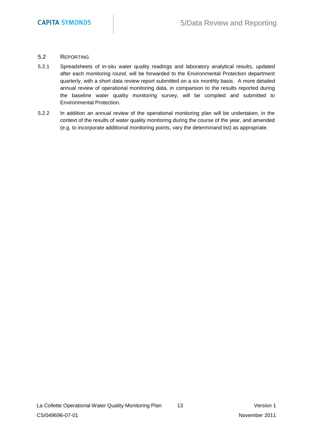#### 5.2 REPORTING

- 5.2.1 Spreadsheets of in-situ water quality readings and laboratory analytical results, updated after each monitoring round, will be forwarded to the Environmental Protection department quarterly, with a short data review report submitted on a six monthly basis. A more detailed annual review of operational monitoring data, in comparison to the results reported during the baseline water quality monitoring survey, will be compiled and submitted to Environmental Protection.
- 5.2.2 In addition an annual review of the operational monitoring plan will be undertaken, in the context of the results of water quality monitoring during the course of the year, and amended (e.g. to incorporate additional monitoring points, vary the determinand list) as appropriate.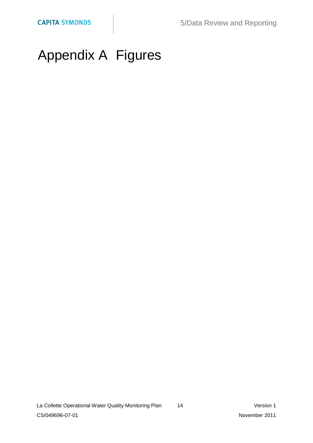# Appendix A Figures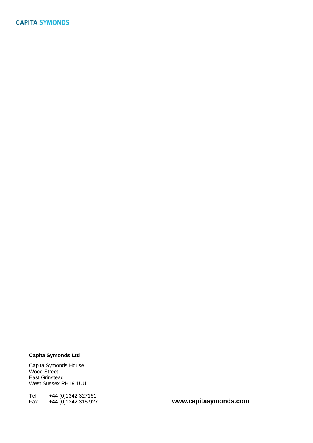#### **Capita Symonds Ltd**

Capita Symonds House Wood Street East Grinstead West Sussex RH19 1UU

Tel +44 (0)1342 327161<br>Fax +44 (0)1342 315 927

Fax +44 (0)1342 315 927 **www.capitasymonds.com**